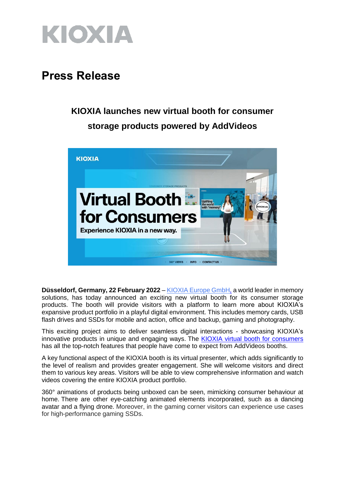

# **Press Release**

# **KIOXIA launches new virtual booth for consumer storage products powered by AddVideos**



**Düsseldorf, Germany, 22 February 2022** – [KIOXIA Europe GmbH,](https://www.kioxia.com/en-emea/top.html) a world leader in memory solutions, has today announced an exciting new virtual booth for its consumer storage products. The booth will provide visitors with a platform to learn more about KIOXIA's expansive product portfolio in a playful digital environment. This includes memory cards, USB flash drives and SSDs for mobile and action, office and backup, gaming and photography.

This exciting project aims to deliver seamless digital interactions - showcasing KIOXIA's innovative products in unique and engaging ways. The KIOXIA [virtual booth for consumers](https://about.kioxia.com/en-emea/event/virtual/tradeshow/consumer/) has all the top-notch features that people have come to expect from AddVideos booths.

A key functional aspect of the KIOXIA booth is its virtual presenter, which adds significantly to the level of realism and provides greater engagement. She will welcome visitors and direct them to various key areas. Visitors will be able to view comprehensive information and watch videos covering the entire KIOXIA product portfolio.

360° animations of products being unboxed can be seen, mimicking consumer behaviour at home. There are other eye-catching animated elements incorporated, such as a dancing avatar and a flying drone. Moreover, in the gaming corner visitors can experience use cases for high-performance gaming SSDs.